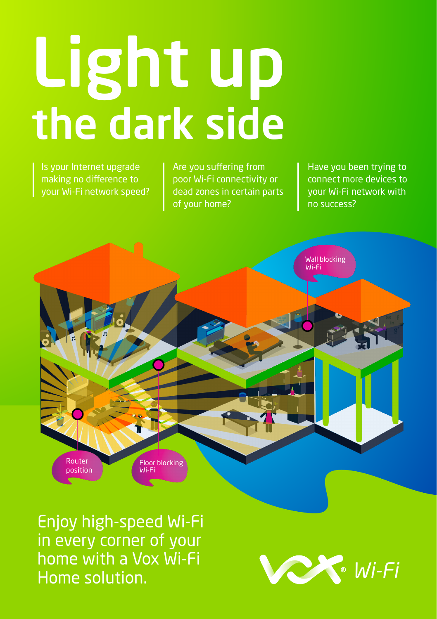# Light up the dark side

Is your Internet upgrade making no difference to your Wi-Fi network speed?

Are you suffering from poor Wi-Fi connectivity or dead zones in certain parts of your home?

Have you been trying to connect more devices to your Wi-Fi network with no success?



Enjoy high-speed Wi-Fi in every corner of your home with a Vox Wi-Fi Home solution.